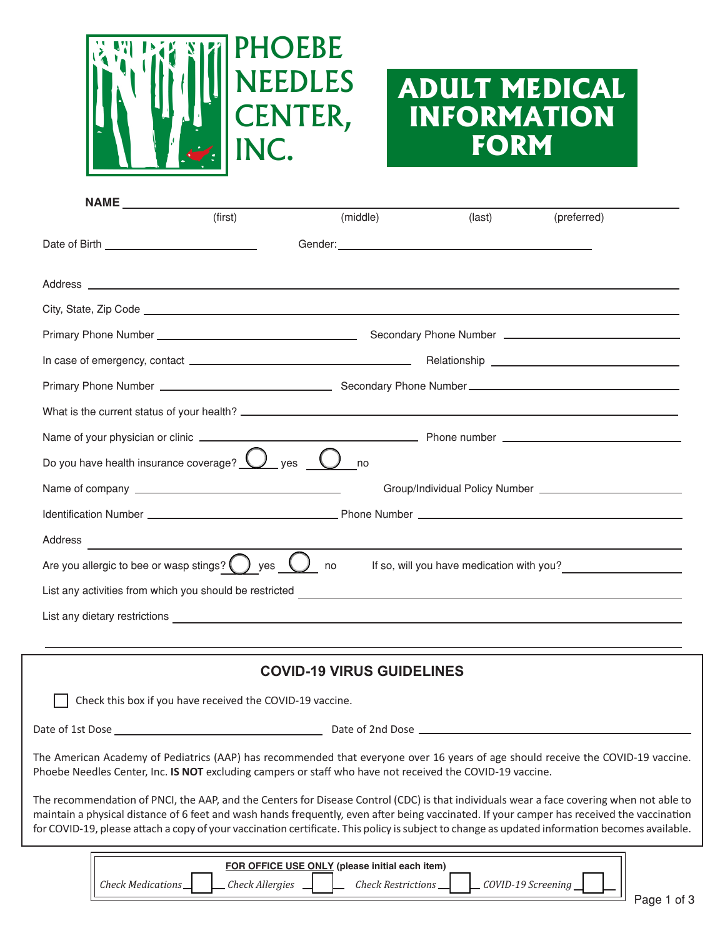

# **ADULT MEDICAL INFORMATION FORM**

|                                                                                                                                                                                                                                | (Tirst) | (middle) | (last) | (preferred)                               |
|--------------------------------------------------------------------------------------------------------------------------------------------------------------------------------------------------------------------------------|---------|----------|--------|-------------------------------------------|
|                                                                                                                                                                                                                                |         |          |        |                                           |
|                                                                                                                                                                                                                                |         |          |        |                                           |
|                                                                                                                                                                                                                                |         |          |        |                                           |
|                                                                                                                                                                                                                                |         |          |        |                                           |
|                                                                                                                                                                                                                                |         |          |        |                                           |
|                                                                                                                                                                                                                                |         |          |        |                                           |
|                                                                                                                                                                                                                                |         |          |        |                                           |
|                                                                                                                                                                                                                                |         |          |        |                                           |
| Do you have health insurance coverage? $\bigcup$ yes                                                                                                                                                                           |         | no       |        |                                           |
|                                                                                                                                                                                                                                |         |          |        |                                           |
|                                                                                                                                                                                                                                |         |          |        |                                           |
| Address<br><u> 1989 - Andrea Andrew Maria (h. 19</u>                                                                                                                                                                           |         |          |        |                                           |
| Are you allergic to bee or wasp stings? $\bigcup$ yes $\blacksquare$                                                                                                                                                           |         | no       |        | If so, will you have medication with you? |
|                                                                                                                                                                                                                                |         |          |        |                                           |
| List any dietary restrictions executive contract to the contract of the contract of the contract of the contract of the contract of the contract of the contract of the contract of the contract of the contract of the contra |         |          |        |                                           |
|                                                                                                                                                                                                                                |         |          |        |                                           |
|                                                                                                                                                                                                                                |         |          |        |                                           |

| <b>COVID-19 VIRUS GUIDELINES</b>                                                                                                                                                                                                                                                                                                                                                                                                         |
|------------------------------------------------------------------------------------------------------------------------------------------------------------------------------------------------------------------------------------------------------------------------------------------------------------------------------------------------------------------------------------------------------------------------------------------|
| Check this box if you have received the COVID-19 vaccine.                                                                                                                                                                                                                                                                                                                                                                                |
| Date of 1st Dose and the contract of the contract of the contract of the contract of the contract of the contract of the contract of the contract of the contract of the contract of the contract of the contract of the contr<br>Date of 2nd Dose                                                                                                                                                                                       |
| The American Academy of Pediatrics (AAP) has recommended that everyone over 16 years of age should receive the COVID-19 vaccine.<br>Phoebe Needles Center, Inc. IS NOT excluding campers or staff who have not received the COVID-19 vaccine.                                                                                                                                                                                            |
| The recommendation of PNCI, the AAP, and the Centers for Disease Control (CDC) is that individuals wear a face covering when not able to<br>maintain a physical distance of 6 feet and wash hands frequently, even after being vaccinated. If your camper has received the vaccination<br>for COVID-19, please attach a copy of your vaccination certificate. This policy is subject to change as updated information becomes available. |
| FOR OFFICE USE ONLY (please initial each item)                                                                                                                                                                                                                                                                                                                                                                                           |

*Check Medications Check Allergies Check Restrictions COVID-19 Screening*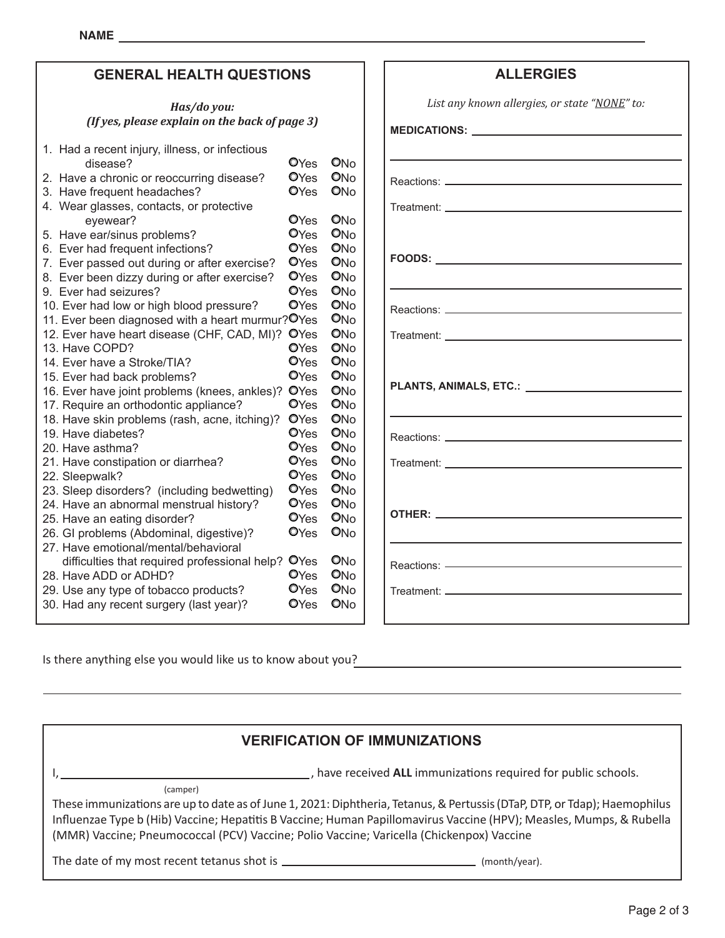# **GENERAL HEALTH QUESTIONS**

#### *Has/do you: (If yes, please explain on the back of page 3)*

|    | 1. Had a recent injury, illness, or infectious    |              |                                |
|----|---------------------------------------------------|--------------|--------------------------------|
|    | disease?                                          | OYes         | ONo                            |
|    | 2. Have a chronic or reoccurring disease?         | <b>O</b> Yes | ONo                            |
|    | 3. Have frequent headaches?                       | OYes         | ONo                            |
|    | 4. Wear glasses, contacts, or protective          |              |                                |
|    | eyewear?                                          | OYes         | ONo                            |
| 5. | Have ear/sinus problems?                          | $OY_{ES}$    | ONo                            |
|    | 6. Ever had frequent infections?                  | OYes         | ONo                            |
|    | 7. Ever passed out during or after exercise?      | OYes         | O <sub>No</sub>                |
|    | 8. Ever been dizzy during or after exercise?      | OYes         | ONo                            |
|    | 9. Ever had seizures?                             | <b>O</b> Yes | ONo                            |
|    | 10. Ever had low or high blood pressure?          | OYes         | ONo                            |
|    | 11. Ever been diagnosed with a heart murmur? OYes |              | ONo                            |
|    | 12. Ever have heart disease (CHF, CAD, MI)?       | OYes         | ONo                            |
|    | 13. Have COPD?                                    | OYes         | ONo                            |
|    | 14. Ever have a Stroke/TIA?                       | OYes         | ONo                            |
|    | 15. Ever had back problems?                       | OYes         | ONo                            |
|    | 16. Ever have joint problems (knees, ankles)?     | <b>O</b> Yes | ONo                            |
|    | 17. Require an orthodontic appliance?             | OYes         | ONo                            |
|    | 18. Have skin problems (rash, acne, itching)?     | OYes         | ONo                            |
|    | 19. Have diabetes?                                | OYes         | ONo                            |
|    | 20. Have asthma?                                  | OYes         | ONo                            |
|    | 21. Have constipation or diarrhea?                | OYes         | ONo                            |
|    | 22. Sleepwalk?                                    | OYes         | $O_{\textsf{No}}$              |
|    | 23. Sleep disorders? (including bedwetting)       | OYes         | $\mathbf{\circ}_{\mathsf{No}}$ |
|    | 24. Have an abnormal menstrual history?           | OYes         | ONo                            |
|    | 25. Have an eating disorder?                      | OYes         | ONo                            |
|    | 26. GI problems (Abdominal, digestive)?           | OYes         | ONo                            |
|    | 27. Have emotional/mental/behavioral              |              |                                |
|    | difficulties that required professional help?     | OYes         | ONo                            |
|    | 28. Have ADD or ADHD?                             | $OY_{ES}$    | ONo                            |
|    | 29. Use any type of tobacco products?             | OYes         | ONo                            |
|    | 30. Had any recent surgery (last year)?           | OYes         | ONo                            |
|    |                                                   |              |                                |

| <b>ALLERGIES</b>                                                                          |  |  |  |
|-------------------------------------------------------------------------------------------|--|--|--|
| List any known allergies, or state "NONE" to:                                             |  |  |  |
|                                                                                           |  |  |  |
| the control of the control of the control of the control of the control of the control of |  |  |  |
|                                                                                           |  |  |  |
|                                                                                           |  |  |  |
|                                                                                           |  |  |  |
|                                                                                           |  |  |  |
|                                                                                           |  |  |  |
|                                                                                           |  |  |  |
|                                                                                           |  |  |  |
|                                                                                           |  |  |  |
|                                                                                           |  |  |  |
|                                                                                           |  |  |  |
|                                                                                           |  |  |  |
|                                                                                           |  |  |  |
|                                                                                           |  |  |  |
| the control of the control of the control of the control of                               |  |  |  |
| Reactions: ———————————————————                                                            |  |  |  |
|                                                                                           |  |  |  |
|                                                                                           |  |  |  |

Is there anything else you would like us to know about you?

## **VERIFICATION OF IMMUNIZATIONS**

I, have received **ALL** immunizations required for public schools.

These immunizations are up to date as of June 1, 2021: Diphtheria, Tetanus, & Pertussis (DTaP, DTP, or Tdap); Haemophilus Influenzae Type b (Hib) Vaccine; Hepatitis B Vaccine; Human Papillomavirus Vaccine (HPV); Measles, Mumps, & Rubella (MMR) Vaccine; Pneumococcal (PCV) Vaccine; Polio Vaccine; Varicella (Chickenpox) Vaccine

The date of my most recent tetanus shot is  $\frac{1}{\frac{1}{2}}$  (month/year).

(camper)